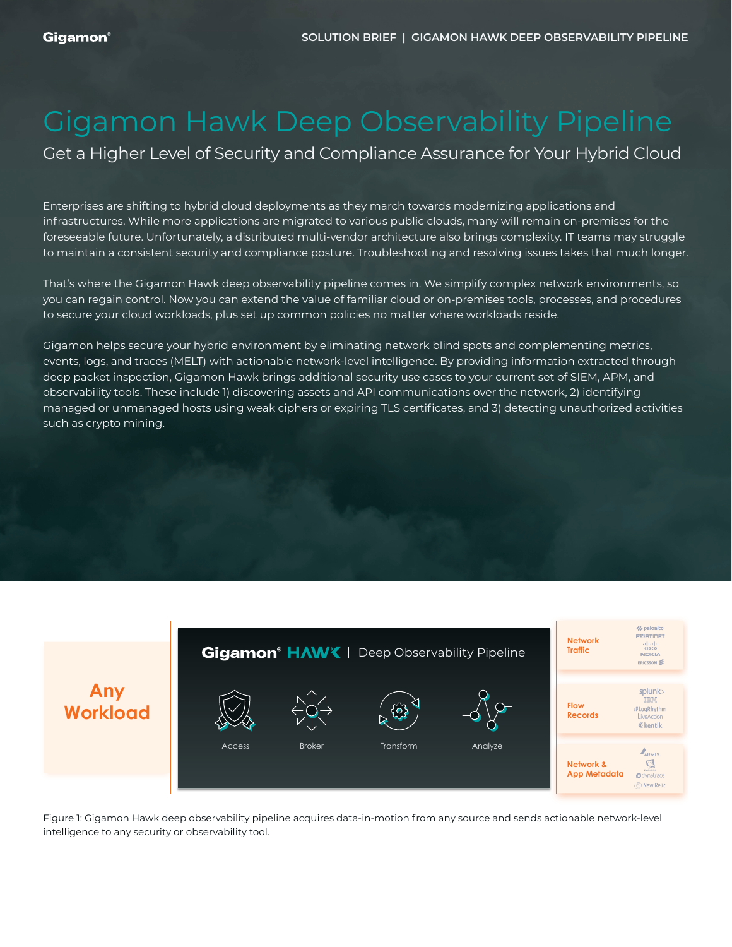# Gigamon Hawk Deep Observability Pipeline

Get a Higher Level of Security and Compliance Assurance for Your Hybrid Cloud

Enterprises are shifting to hybrid cloud deployments as they march towards modernizing applications and infrastructures. While more applications are migrated to various public clouds, many will remain on-premises for the foreseeable future. Unfortunately, a distributed multi-vendor architecture also brings complexity. IT teams may struggle to maintain a consistent security and compliance posture. Troubleshooting and resolving issues takes that much longer.

That's where the Gigamon Hawk deep observability pipeline comes in. We simplify complex network environments, so you can regain control. Now you can extend the value of familiar cloud or on-premises tools, processes, and procedures to secure your cloud workloads, plus set up common policies no matter where workloads reside.

Gigamon helps secure your hybrid environment by eliminating network blind spots and complementing metrics, events, logs, and traces (MELT) with actionable network-level intelligence. By providing information extracted through deep packet inspection, Gigamon Hawk brings additional security use cases to your current set of SIEM, APM, and observability tools. These include 1) discovering assets and API communications over the network, 2) identifying managed or unmanaged hosts using weak ciphers or expiring TLS certificates, and 3) detecting unauthorized activities such as crypto mining.



Figure 1: Gigamon Hawk deep observability pipeline acquires data-in-motion from any source and sends actionable network-level intelligence to any security or observability tool.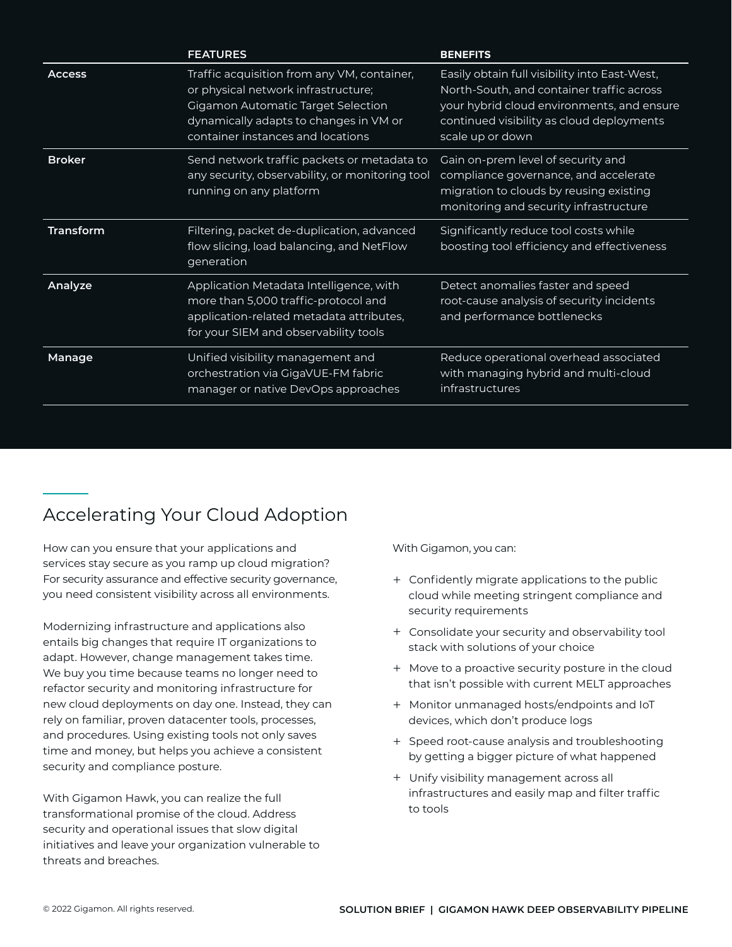|                  | <b>FEATURES</b>                                                                                                                                                                                                | <b>BENEFITS</b>                                                                                                                                                                                           |
|------------------|----------------------------------------------------------------------------------------------------------------------------------------------------------------------------------------------------------------|-----------------------------------------------------------------------------------------------------------------------------------------------------------------------------------------------------------|
| <b>Access</b>    | Traffic acquisition from any VM, container,<br>or physical network infrastructure;<br><b>Gigamon Automatic Target Selection</b><br>dynamically adapts to changes in VM or<br>container instances and locations | Easily obtain full visibility into East-West,<br>North-South, and container traffic across<br>your hybrid cloud environments, and ensure<br>continued visibility as cloud deployments<br>scale up or down |
| <b>Broker</b>    | Send network traffic packets or metadata to<br>any security, observability, or monitoring tool<br>running on any platform                                                                                      | Gain on-prem level of security and<br>compliance governance, and accelerate<br>migration to clouds by reusing existing<br>monitoring and security infrastructure                                          |
| <b>Transform</b> | Filtering, packet de-duplication, advanced<br>flow slicing, load balancing, and NetFlow<br>generation                                                                                                          | Significantly reduce tool costs while<br>boosting tool efficiency and effectiveness                                                                                                                       |
| Analyze          | Application Metadata Intelligence, with<br>more than 5,000 traffic-protocol and<br>application-related metadata attributes,<br>for your SIEM and observability tools                                           | Detect anomalies faster and speed<br>root-cause analysis of security incidents<br>and performance bottlenecks                                                                                             |
| Manage           | Unified visibility management and<br>orchestration via GigaVUE-FM fabric<br>manager or native DevOps approaches                                                                                                | Reduce operational overhead associated<br>with managing hybrid and multi-cloud<br>infrastructures                                                                                                         |

## Accelerating Your Cloud Adoption

How can you ensure that your applications and services stay secure as you ramp up cloud migration? For security assurance and effective security governance, you need consistent visibility across all environments.

Modernizing infrastructure and applications also entails big changes that require IT organizations to adapt. However, change management takes time. We buy you time because teams no longer need to refactor security and monitoring infrastructure for new cloud deployments on day one. Instead, they can rely on familiar, proven datacenter tools, processes, and procedures. Using existing tools not only saves time and money, but helps you achieve a consistent security and compliance posture.

With Gigamon Hawk, you can realize the full transformational promise of the cloud. Address security and operational issues that slow digital initiatives and leave your organization vulnerable to threats and breaches.

With Gigamon, you can:

- + Confidently migrate applications to the public cloud while meeting stringent compliance and security requirements
- + Consolidate your security and observability tool stack with solutions of your choice
- + Move to a proactive security posture in the cloud that isn't possible with current MELT approaches
- + Monitor unmanaged hosts/endpoints and IoT devices, which don't produce logs
- + Speed root-cause analysis and troubleshooting by getting a bigger picture of what happened
- + Unify visibility management across all infrastructures and easily map and filter traffic to tools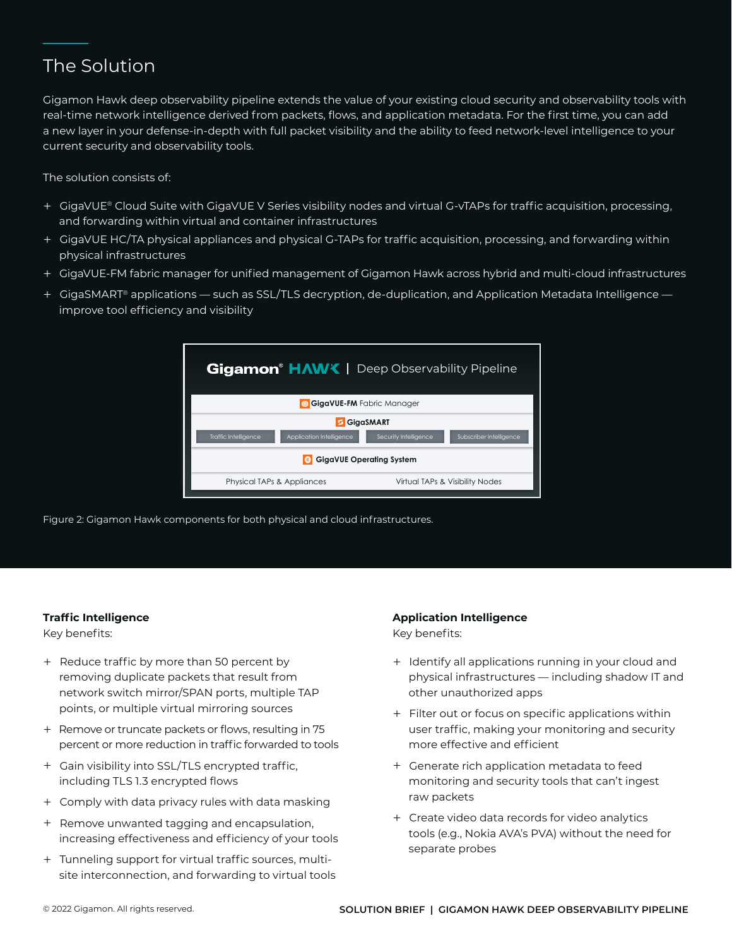### The Solution

Gigamon Hawk deep observability pipeline extends the value of your existing cloud security and observability tools with real-time network intelligence derived from packets, flows, and application metadata. For the first time, you can add a new layer in your defense-in-depth with full packet visibility and the ability to feed network-level intelligence to your current security and observability tools.

The solution consists of:

- + GigaVUE® Cloud Suite with GigaVUE V Series visibility nodes and virtual G-vTAPs for traffic acquisition, processing, and forwarding within virtual and container infrastructures
- + GigaVUE HC/TA physical appliances and physical G-TAPs for traffic acquisition, processing, and forwarding within physical infrastructures
- + GigaVUE-FM fabric manager for unified management of Gigamon Hawk across hybrid and multi-cloud infrastructures
- + GigaSMART® applications such as SSL/TLS decryption, de-duplication, and Application Metadata Intelligence improve tool efficiency and visibility



Figure 2: Gigamon Hawk components for both physical and cloud infrastructures.

#### **Traffic Intelligence**

Key benefits:

- + Reduce traffic by more than 50 percent by removing duplicate packets that result from network switch mirror/SPAN ports, multiple TAP points, or multiple virtual mirroring sources
- + Remove or truncate packets or flows, resulting in 75 percent or more reduction in traffic forwarded to tools
- + Gain visibility into SSL/TLS encrypted traffic, including TLS 1.3 encrypted flows
- + Comply with data privacy rules with data masking
- + Remove unwanted tagging and encapsulation, increasing effectiveness and efficiency of your tools
- + Tunneling support for virtual traffic sources, multisite interconnection, and forwarding to virtual tools

#### **Application Intelligence**

Key benefits:

- + Identify all applications running in your cloud and physical infrastructures — including shadow IT and other unauthorized apps
- + Filter out or focus on specific applications within user traffic, making your monitoring and security more effective and efficient
- + Generate rich application metadata to feed monitoring and security tools that can't ingest raw packets
- + Create video data records for video analytics tools (e.g., Nokia AVA's PVA) without the need for separate probes